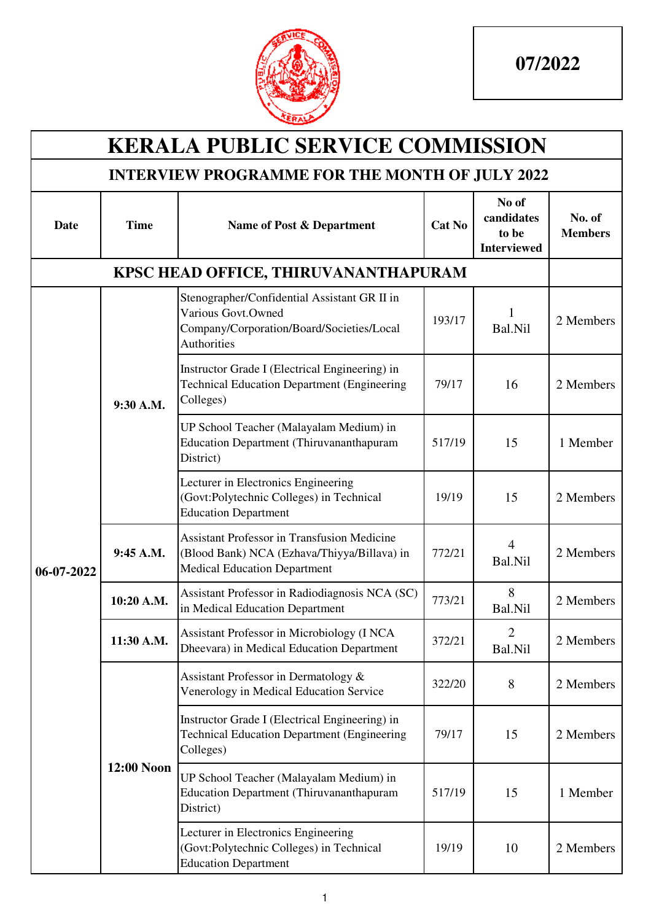

| <b>KERALA PUBLIC SERVICE COMMISSION</b>               |             |                                                                                                                                   |               |                                                    |                          |  |  |  |  |
|-------------------------------------------------------|-------------|-----------------------------------------------------------------------------------------------------------------------------------|---------------|----------------------------------------------------|--------------------------|--|--|--|--|
| <b>INTERVIEW PROGRAMME FOR THE MONTH OF JULY 2022</b> |             |                                                                                                                                   |               |                                                    |                          |  |  |  |  |
| Date                                                  | <b>Time</b> | Name of Post & Department                                                                                                         | <b>Cat No</b> | No of<br>candidates<br>to be<br><b>Interviewed</b> | No. of<br><b>Members</b> |  |  |  |  |
|                                                       |             | KPSC HEAD OFFICE, THIRUVANANTHAPURAM                                                                                              |               |                                                    |                          |  |  |  |  |
|                                                       |             | Stenographer/Confidential Assistant GR II in<br>Various Govt.Owned<br>Company/Corporation/Board/Societies/Local<br>Authorities    | 193/17        | 1<br>Bal.Nil                                       | 2 Members                |  |  |  |  |
|                                                       | 9:30 A.M.   | Instructor Grade I (Electrical Engineering) in<br><b>Technical Education Department (Engineering</b><br>Colleges)                 | 79/17         | 16                                                 | 2 Members                |  |  |  |  |
|                                                       |             | UP School Teacher (Malayalam Medium) in<br><b>Education Department (Thiruvananthapuram</b><br>District)                           | 517/19        | 15                                                 | 1 Member                 |  |  |  |  |
|                                                       |             | Lecturer in Electronics Engineering<br>(Govt:Polytechnic Colleges) in Technical<br><b>Education Department</b>                    | 19/19         | 15                                                 | 2 Members                |  |  |  |  |
| 06-07-2022                                            | 9:45 A.M.   | Assistant Professor in Transfusion Medicine<br>(Blood Bank) NCA (Ezhava/Thiyya/Billava) in<br><b>Medical Education Department</b> | 772/21        | $\overline{4}$<br>Bal.Nil                          | 2 Members                |  |  |  |  |
|                                                       | 10:20 A.M.  | Assistant Professor in Radiodiagnosis NCA (SC)<br>in Medical Education Department                                                 | 773/21        | 8<br>Bal.Nil                                       | 2 Members                |  |  |  |  |
|                                                       | 11:30 A.M.  | Assistant Professor in Microbiology (I NCA<br>Dheevara) in Medical Education Department                                           | 372/21        | $\overline{2}$<br>Bal.Nil                          | 2 Members                |  |  |  |  |
|                                                       |             | Assistant Professor in Dermatology &<br>Venerology in Medical Education Service                                                   | 322/20        | 8                                                  | 2 Members                |  |  |  |  |
|                                                       |             | Instructor Grade I (Electrical Engineering) in<br><b>Technical Education Department (Engineering</b><br>Colleges)                 | 79/17         | 15                                                 | 2 Members                |  |  |  |  |
|                                                       | 12:00 Noon  | UP School Teacher (Malayalam Medium) in<br><b>Education Department (Thiruvananthapuram</b><br>District)                           | 517/19        | 15                                                 | 1 Member                 |  |  |  |  |
|                                                       |             | Lecturer in Electronics Engineering<br>(Govt:Polytechnic Colleges) in Technical<br><b>Education Department</b>                    | 19/19         | 10                                                 | 2 Members                |  |  |  |  |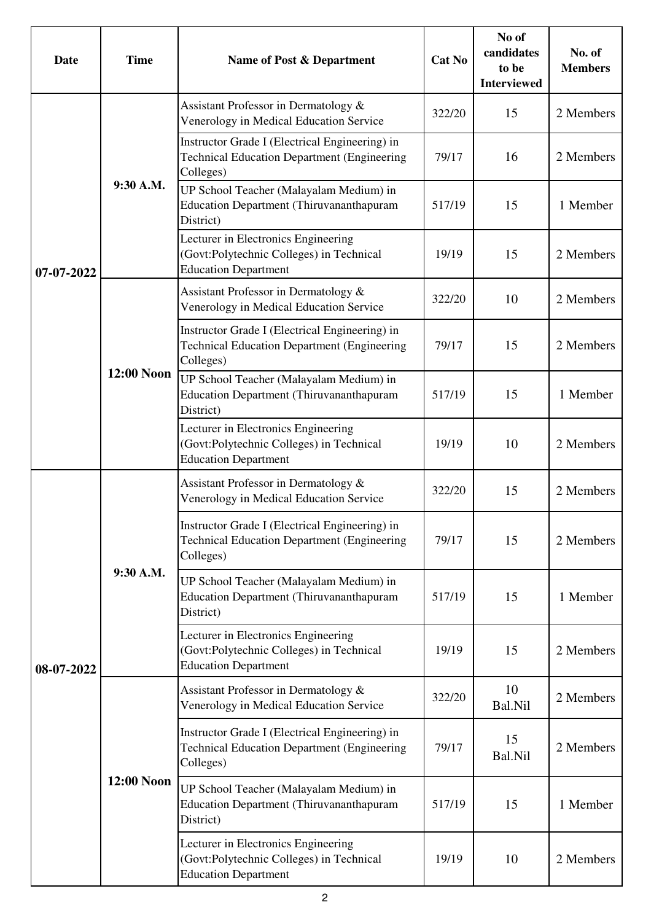| Date       | <b>Time</b> | Name of Post & Department                                                                                         | Cat No | No of<br>candidates<br>to be<br><b>Interviewed</b> | No. of<br><b>Members</b> |
|------------|-------------|-------------------------------------------------------------------------------------------------------------------|--------|----------------------------------------------------|--------------------------|
|            |             | Assistant Professor in Dermatology &<br>Venerology in Medical Education Service                                   | 322/20 | 15                                                 | 2 Members                |
|            |             | Instructor Grade I (Electrical Engineering) in<br><b>Technical Education Department (Engineering</b><br>Colleges) | 79/17  | 16                                                 | 2 Members                |
|            | 9:30 A.M.   | UP School Teacher (Malayalam Medium) in<br><b>Education Department (Thiruvananthapuram</b><br>District)           | 517/19 | 15                                                 | 1 Member                 |
| 07-07-2022 |             | Lecturer in Electronics Engineering<br>(Govt:Polytechnic Colleges) in Technical<br><b>Education Department</b>    | 19/19  | 15                                                 | 2 Members                |
|            |             | Assistant Professor in Dermatology &<br>Venerology in Medical Education Service                                   | 322/20 | 10                                                 | 2 Members                |
|            |             | Instructor Grade I (Electrical Engineering) in<br><b>Technical Education Department (Engineering</b><br>Colleges) | 79/17  | 15                                                 | 2 Members                |
|            | 12:00 Noon  | UP School Teacher (Malayalam Medium) in<br><b>Education Department (Thiruvananthapuram</b><br>District)           | 517/19 | 15                                                 | 1 Member                 |
|            |             | Lecturer in Electronics Engineering<br>(Govt:Polytechnic Colleges) in Technical<br><b>Education Department</b>    | 19/19  | 10                                                 | 2 Members                |
|            | 9:30 A.M.   | Assistant Professor in Dermatology &<br>Venerology in Medical Education Service                                   | 322/20 | 15                                                 | 2 Members                |
|            |             | Instructor Grade I (Electrical Engineering) in<br><b>Technical Education Department (Engineering</b><br>Colleges) | 79/17  | 15                                                 | 2 Members                |
|            |             | UP School Teacher (Malayalam Medium) in<br><b>Education Department (Thiruvananthapuram</b><br>District)           | 517/19 | 15                                                 | 1 Member                 |
| 08-07-2022 |             | Lecturer in Electronics Engineering<br>(Govt:Polytechnic Colleges) in Technical<br><b>Education Department</b>    | 19/19  | 15                                                 | 2 Members                |
|            |             | Assistant Professor in Dermatology &<br>Venerology in Medical Education Service                                   | 322/20 | 10<br>Bal.Nil                                      | 2 Members                |
|            | 12:00 Noon  | Instructor Grade I (Electrical Engineering) in<br><b>Technical Education Department (Engineering</b><br>Colleges) | 79/17  | 15<br>Bal.Nil                                      | 2 Members                |
|            |             | UP School Teacher (Malayalam Medium) in<br><b>Education Department (Thiruvananthapuram</b><br>District)           | 517/19 | 15                                                 | 1 Member                 |
|            |             | Lecturer in Electronics Engineering<br>(Govt:Polytechnic Colleges) in Technical<br><b>Education Department</b>    | 19/19  | 10                                                 | 2 Members                |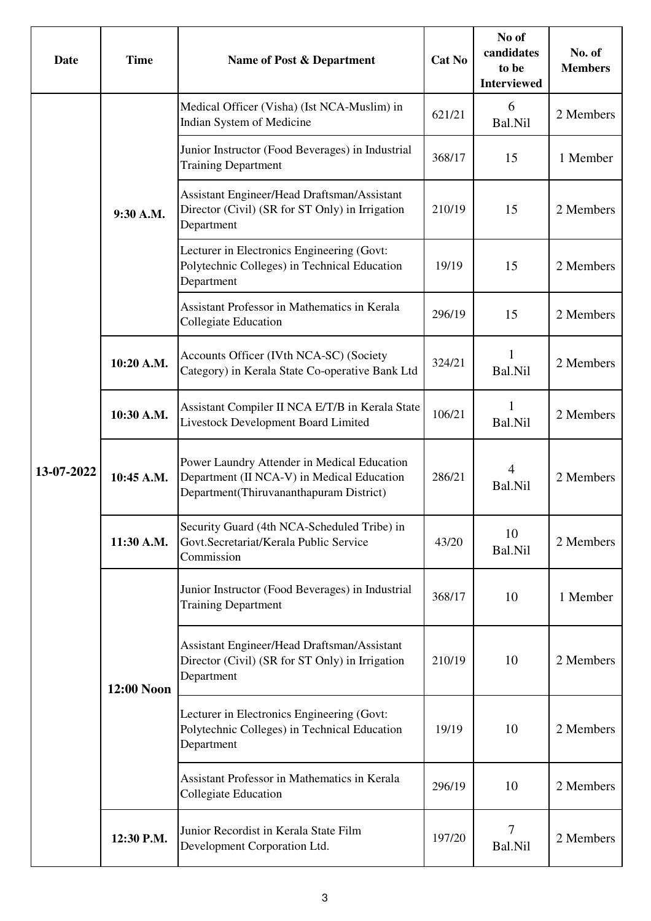| Date       | <b>Time</b> | Name of Post & Department                                                                                                            | Cat No | No of<br>candidates<br>to be<br><b>Interviewed</b> | No. of<br><b>Members</b> |
|------------|-------------|--------------------------------------------------------------------------------------------------------------------------------------|--------|----------------------------------------------------|--------------------------|
|            |             | Medical Officer (Visha) (Ist NCA-Muslim) in<br>Indian System of Medicine                                                             | 621/21 | 6<br>Bal.Nil                                       | 2 Members                |
|            |             | Junior Instructor (Food Beverages) in Industrial<br><b>Training Department</b>                                                       | 368/17 | 15                                                 | 1 Member                 |
|            | 9:30 A.M.   | Assistant Engineer/Head Draftsman/Assistant<br>Director (Civil) (SR for ST Only) in Irrigation<br>Department                         | 210/19 | 15                                                 | 2 Members                |
|            |             | Lecturer in Electronics Engineering (Govt:<br>Polytechnic Colleges) in Technical Education<br>Department                             | 19/19  | 15                                                 | 2 Members                |
|            |             | <b>Assistant Professor in Mathematics in Kerala</b><br><b>Collegiate Education</b>                                                   | 296/19 | 15                                                 | 2 Members                |
|            | 10:20 A.M.  | Accounts Officer (IVth NCA-SC) (Society<br>Category) in Kerala State Co-operative Bank Ltd                                           | 324/21 | 1<br>Bal.Nil                                       | 2 Members                |
|            | 10:30 A.M.  | Assistant Compiler II NCA E/T/B in Kerala State<br>Livestock Development Board Limited                                               | 106/21 | 1<br>Bal.Nil                                       | 2 Members                |
| 13-07-2022 | 10:45 A.M.  | Power Laundry Attender in Medical Education<br>Department (II NCA-V) in Medical Education<br>Department(Thiruvananthapuram District) | 286/21 | 4<br>Bal.Nil                                       | 2 Members                |
|            | 11:30 A.M.  | Security Guard (4th NCA-Scheduled Tribe) in<br>Govt.Secretariat/Kerala Public Service<br>Commission                                  | 43/20  | 10<br>Bal.Nil                                      | 2 Members                |
|            |             | Junior Instructor (Food Beverages) in Industrial<br><b>Training Department</b>                                                       | 368/17 | 10                                                 | 1 Member                 |
|            | 12:00 Noon  | Assistant Engineer/Head Draftsman/Assistant<br>Director (Civil) (SR for ST Only) in Irrigation<br>Department                         | 210/19 | 10                                                 | 2 Members                |
|            |             | Lecturer in Electronics Engineering (Govt:<br>Polytechnic Colleges) in Technical Education<br>Department                             | 19/19  | 10                                                 | 2 Members                |
|            |             | Assistant Professor in Mathematics in Kerala<br><b>Collegiate Education</b>                                                          | 296/19 | 10                                                 | 2 Members                |
|            | 12:30 P.M.  | Junior Recordist in Kerala State Film<br>Development Corporation Ltd.                                                                | 197/20 | 7<br>Bal.Nil                                       | 2 Members                |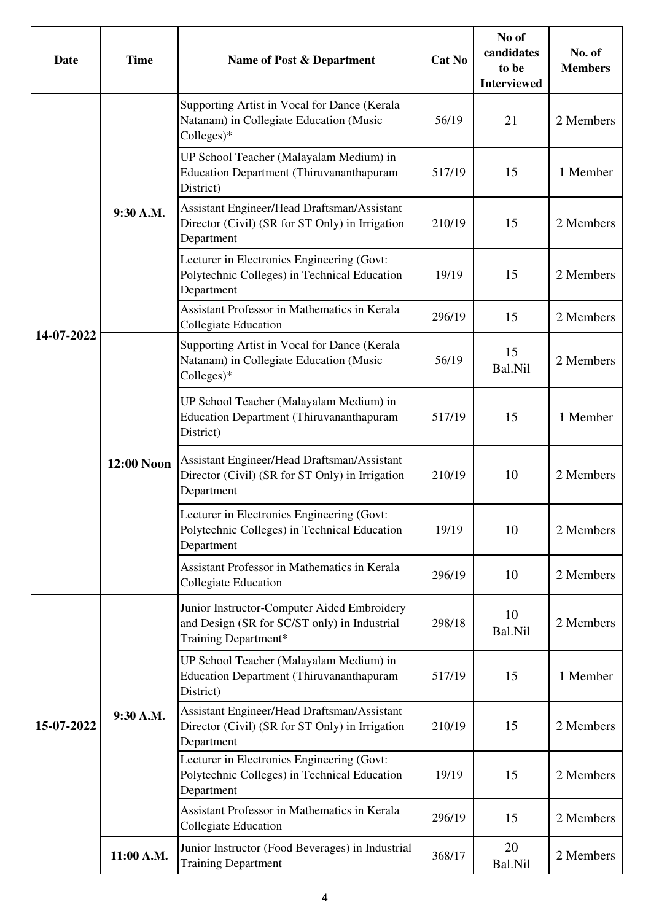| Date       | <b>Time</b> | Name of Post & Department                                                                                           | Cat No | No of<br>candidates<br>to be<br><b>Interviewed</b> | No. of<br><b>Members</b> |
|------------|-------------|---------------------------------------------------------------------------------------------------------------------|--------|----------------------------------------------------|--------------------------|
|            |             | Supporting Artist in Vocal for Dance (Kerala<br>Natanam) in Collegiate Education (Music<br>Colleges)*               | 56/19  | 21                                                 | 2 Members                |
|            |             | UP School Teacher (Malayalam Medium) in<br><b>Education Department (Thiruvananthapuram</b><br>District)             | 517/19 | 15                                                 | 1 Member                 |
|            | 9:30 A.M.   | Assistant Engineer/Head Draftsman/Assistant<br>Director (Civil) (SR for ST Only) in Irrigation<br>Department        | 210/19 | 15                                                 | 2 Members                |
|            |             | Lecturer in Electronics Engineering (Govt:<br>Polytechnic Colleges) in Technical Education<br>Department            | 19/19  | 15                                                 | 2 Members                |
|            |             | Assistant Professor in Mathematics in Kerala<br>Collegiate Education                                                | 296/19 | 15                                                 | 2 Members                |
| 14-07-2022 |             | Supporting Artist in Vocal for Dance (Kerala<br>Natanam) in Collegiate Education (Music<br>$Colleges)*$             | 56/19  | 15<br>Bal.Nil                                      | 2 Members                |
|            | 12:00 Noon  | UP School Teacher (Malayalam Medium) in<br><b>Education Department (Thiruvananthapuram</b><br>District)             | 517/19 | 15                                                 | 1 Member                 |
|            |             | Assistant Engineer/Head Draftsman/Assistant<br>Director (Civil) (SR for ST Only) in Irrigation<br>Department        | 210/19 | 10                                                 | 2 Members                |
|            |             | Lecturer in Electronics Engineering (Govt:<br>Polytechnic Colleges) in Technical Education<br>Department            | 19/19  | 10                                                 | 2 Members                |
|            |             | Assistant Professor in Mathematics in Kerala<br><b>Collegiate Education</b>                                         | 296/19 | 10                                                 | 2 Members                |
|            |             | Junior Instructor-Computer Aided Embroidery<br>and Design (SR for SC/ST only) in Industrial<br>Training Department* | 298/18 | 10<br>Bal.Nil                                      | 2 Members                |
|            |             | UP School Teacher (Malayalam Medium) in<br><b>Education Department (Thiruvananthapuram</b><br>District)             | 517/19 | 15                                                 | 1 Member                 |
| 15-07-2022 | 9:30 A.M.   | Assistant Engineer/Head Draftsman/Assistant<br>Director (Civil) (SR for ST Only) in Irrigation<br>Department        | 210/19 | 15                                                 | 2 Members                |
|            |             | Lecturer in Electronics Engineering (Govt:<br>Polytechnic Colleges) in Technical Education<br>Department            | 19/19  | 15                                                 | 2 Members                |
|            |             | Assistant Professor in Mathematics in Kerala<br><b>Collegiate Education</b>                                         | 296/19 | 15                                                 | 2 Members                |
|            | 11:00 A.M.  | Junior Instructor (Food Beverages) in Industrial<br><b>Training Department</b>                                      | 368/17 | 20<br>Bal.Nil                                      | 2 Members                |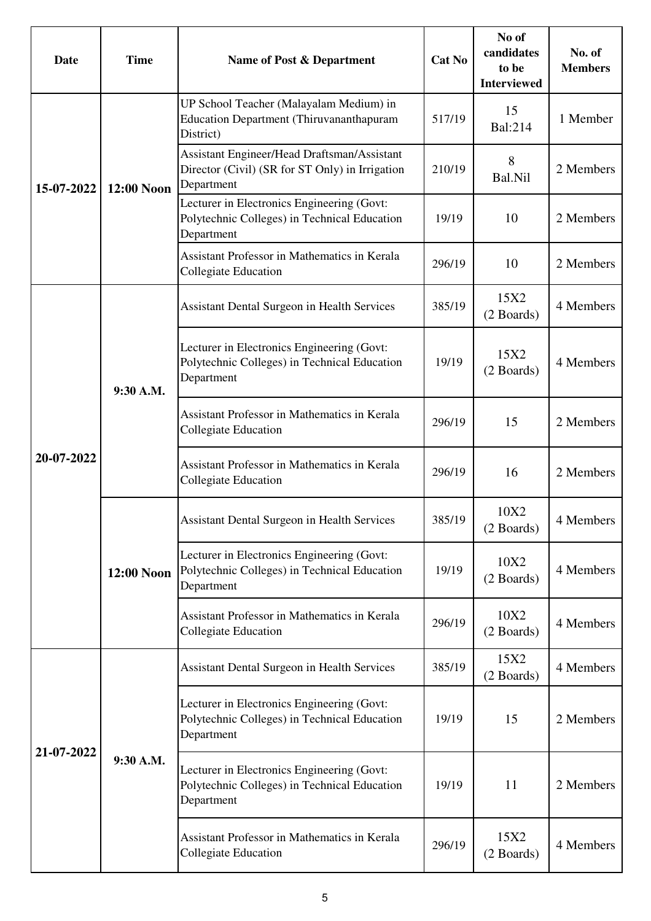| Date       | <b>Time</b> | Name of Post & Department                                                                                    | Cat No | No of<br>candidates<br>to be<br><b>Interviewed</b> | No. of<br><b>Members</b> |
|------------|-------------|--------------------------------------------------------------------------------------------------------------|--------|----------------------------------------------------|--------------------------|
| 15-07-2022 |             | UP School Teacher (Malayalam Medium) in<br><b>Education Department (Thiruvananthapuram</b><br>District)      | 517/19 | 15<br>Bal:214                                      | 1 Member                 |
|            | 12:00 Noon  | Assistant Engineer/Head Draftsman/Assistant<br>Director (Civil) (SR for ST Only) in Irrigation<br>Department | 210/19 | 8<br>Bal.Nil                                       | 2 Members                |
|            |             | Lecturer in Electronics Engineering (Govt:<br>Polytechnic Colleges) in Technical Education<br>Department     | 19/19  | 10                                                 | 2 Members                |
|            |             | <b>Assistant Professor in Mathematics in Kerala</b><br><b>Collegiate Education</b>                           | 296/19 | 10                                                 | 2 Members                |
|            |             | <b>Assistant Dental Surgeon in Health Services</b>                                                           | 385/19 | 15X2<br>(2 Boards)                                 | 4 Members                |
|            | 9:30 A.M.   | Lecturer in Electronics Engineering (Govt:<br>Polytechnic Colleges) in Technical Education<br>Department     | 19/19  | 15X2<br>(2 Boards)                                 | 4 Members                |
|            |             | <b>Assistant Professor in Mathematics in Kerala</b><br><b>Collegiate Education</b>                           | 296/19 | 15                                                 | 2 Members                |
| 20-07-2022 |             | <b>Assistant Professor in Mathematics in Kerala</b><br>Collegiate Education                                  | 296/19 | 16                                                 | 2 Members                |
|            | 12:00 Noon  | <b>Assistant Dental Surgeon in Health Services</b>                                                           | 385/19 | 10X2<br>(2 Boards)                                 | 4 Members                |
|            |             | Lecturer in Electronics Engineering (Govt:<br>Polytechnic Colleges) in Technical Education<br>Department     | 19/19  | 10X2<br>(2 Boards)                                 | 4 Members                |
|            |             | Assistant Professor in Mathematics in Kerala<br><b>Collegiate Education</b>                                  | 296/19 | 10X2<br>(2 Boards)                                 | 4 Members                |
|            |             | <b>Assistant Dental Surgeon in Health Services</b>                                                           | 385/19 | 15X2<br>(2 Boards)                                 | 4 Members                |
| 21-07-2022 |             | Lecturer in Electronics Engineering (Govt:<br>Polytechnic Colleges) in Technical Education<br>Department     | 19/19  | 15                                                 | 2 Members                |
|            | 9:30 A.M.   | Lecturer in Electronics Engineering (Govt:<br>Polytechnic Colleges) in Technical Education<br>Department     | 19/19  | 11                                                 | 2 Members                |
|            |             | Assistant Professor in Mathematics in Kerala<br><b>Collegiate Education</b>                                  | 296/19 | 15X2<br>(2 Boards)                                 | 4 Members                |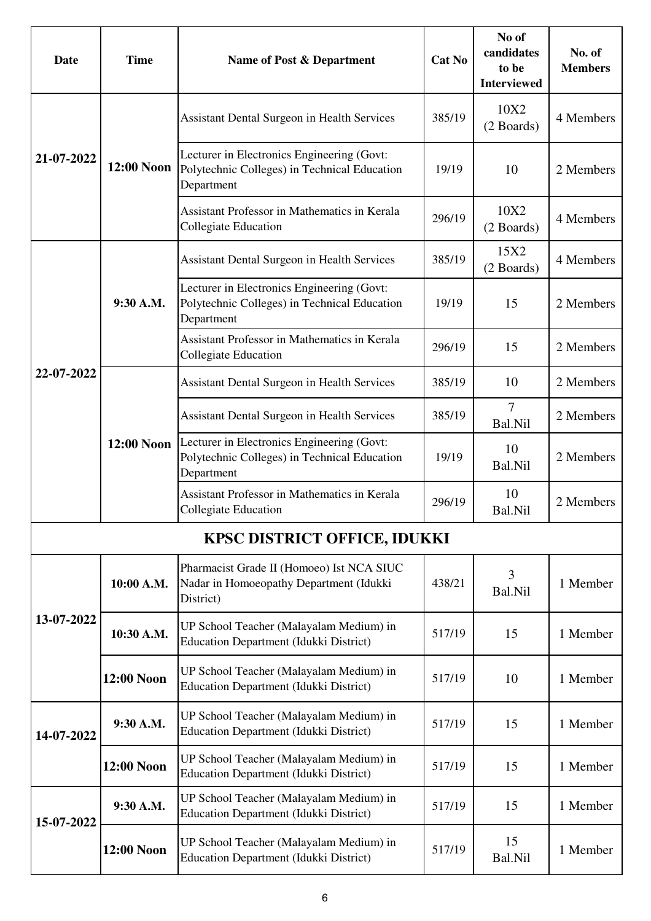| Date       | <b>Time</b> | Name of Post & Department                                                                                | Cat No | No of<br>candidates<br>to be<br><b>Interviewed</b> | No. of<br><b>Members</b> |
|------------|-------------|----------------------------------------------------------------------------------------------------------|--------|----------------------------------------------------|--------------------------|
|            |             | Assistant Dental Surgeon in Health Services                                                              | 385/19 | 10X2<br>(2 Boards)                                 | 4 Members                |
| 21-07-2022 | 12:00 Noon  | Lecturer in Electronics Engineering (Govt:<br>Polytechnic Colleges) in Technical Education<br>Department | 19/19  | 10                                                 | 2 Members                |
|            |             | <b>Assistant Professor in Mathematics in Kerala</b><br><b>Collegiate Education</b>                       | 296/19 | 10X2<br>(2 Boards)                                 | 4 Members                |
|            |             | <b>Assistant Dental Surgeon in Health Services</b>                                                       | 385/19 | 15X2<br>(2 Boards)                                 | 4 Members                |
|            | 9:30 A.M.   | Lecturer in Electronics Engineering (Govt:<br>Polytechnic Colleges) in Technical Education<br>Department | 19/19  | 15                                                 | 2 Members                |
|            |             | <b>Assistant Professor in Mathematics in Kerala</b><br><b>Collegiate Education</b>                       | 296/19 | 15                                                 | 2 Members                |
| 22-07-2022 |             | <b>Assistant Dental Surgeon in Health Services</b>                                                       | 385/19 | 10                                                 | 2 Members                |
|            | 12:00 Noon  | <b>Assistant Dental Surgeon in Health Services</b>                                                       | 385/19 | $\tau$<br>Bal.Nil                                  | 2 Members                |
|            |             | Lecturer in Electronics Engineering (Govt:<br>Polytechnic Colleges) in Technical Education<br>Department | 19/19  | 10<br>Bal.Nil                                      | 2 Members                |
|            |             | Assistant Professor in Mathematics in Kerala<br>Collegiate Education                                     | 296/19 | 10<br>Bal.Nil                                      | 2 Members                |
|            |             | <b>KPSC DISTRICT OFFICE, IDUKKI</b>                                                                      |        |                                                    |                          |
|            | 10:00 A.M.  | Pharmacist Grade II (Homoeo) Ist NCA SIUC<br>Nadar in Homoeopathy Department (Idukki<br>District)        | 438/21 | 3<br>Bal.Nil                                       | 1 Member                 |
| 13-07-2022 | 10:30 A.M.  | UP School Teacher (Malayalam Medium) in<br><b>Education Department (Idukki District)</b>                 | 517/19 | 15                                                 | 1 Member                 |
|            | 12:00 Noon  | UP School Teacher (Malayalam Medium) in<br><b>Education Department (Idukki District)</b>                 | 517/19 | 10                                                 | 1 Member                 |
| 14-07-2022 | 9:30 A.M.   | UP School Teacher (Malayalam Medium) in<br><b>Education Department (Idukki District)</b>                 | 517/19 | 15                                                 | 1 Member                 |
|            | 12:00 Noon  | UP School Teacher (Malayalam Medium) in<br>Education Department (Idukki District)                        | 517/19 | 15                                                 | 1 Member                 |
| 15-07-2022 | 9:30 A.M.   | UP School Teacher (Malayalam Medium) in<br><b>Education Department (Idukki District)</b>                 | 517/19 | 15                                                 | 1 Member                 |
|            | 12:00 Noon  | UP School Teacher (Malayalam Medium) in<br><b>Education Department (Idukki District)</b>                 | 517/19 | 15<br>Bal.Nil                                      | 1 Member                 |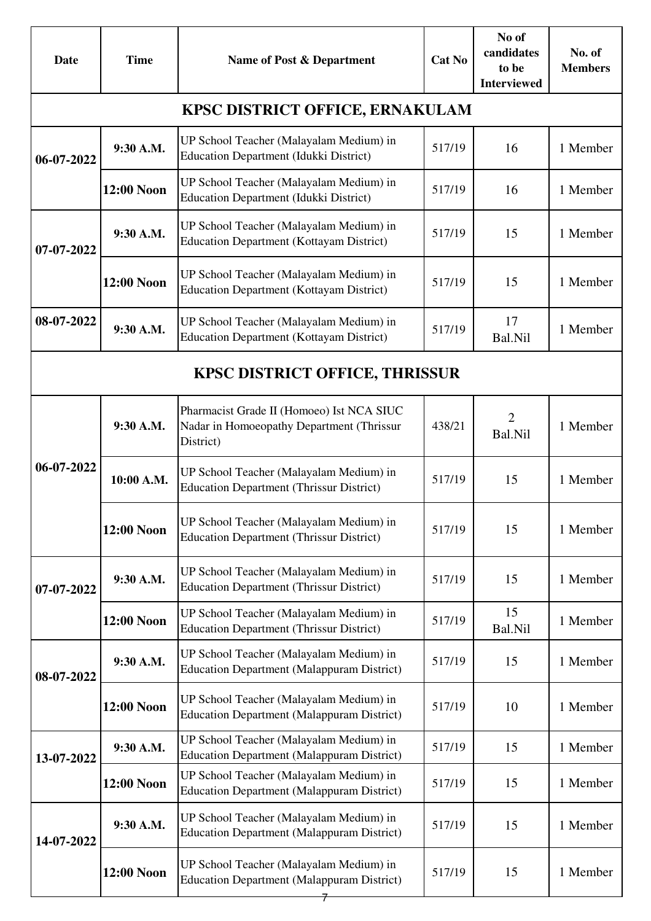| Date                                   | <b>Time</b> | Name of Post & Department                                                                           | <b>Cat No</b> | No of<br>candidates<br>to be<br><b>Interviewed</b> | No. of<br><b>Members</b> |  |  |  |  |
|----------------------------------------|-------------|-----------------------------------------------------------------------------------------------------|---------------|----------------------------------------------------|--------------------------|--|--|--|--|
| <b>KPSC DISTRICT OFFICE, ERNAKULAM</b> |             |                                                                                                     |               |                                                    |                          |  |  |  |  |
| 06-07-2022                             | 9:30 A.M.   | UP School Teacher (Malayalam Medium) in<br><b>Education Department (Idukki District)</b>            | 517/19        | 16                                                 | 1 Member                 |  |  |  |  |
|                                        | 12:00 Noon  | UP School Teacher (Malayalam Medium) in<br><b>Education Department (Idukki District)</b>            | 517/19        | 16                                                 | 1 Member                 |  |  |  |  |
| 07-07-2022                             | 9:30 A.M.   | UP School Teacher (Malayalam Medium) in<br><b>Education Department (Kottayam District)</b>          | 517/19        | 15                                                 | 1 Member                 |  |  |  |  |
|                                        | 12:00 Noon  | UP School Teacher (Malayalam Medium) in<br><b>Education Department (Kottayam District)</b>          | 517/19        | 15                                                 | 1 Member                 |  |  |  |  |
| 08-07-2022                             | 9:30 A.M.   | UP School Teacher (Malayalam Medium) in<br><b>Education Department (Kottayam District)</b>          | 517/19        | 17<br>Bal.Nil                                      | 1 Member                 |  |  |  |  |
|                                        |             | <b>KPSC DISTRICT OFFICE, THRISSUR</b>                                                               |               |                                                    |                          |  |  |  |  |
|                                        | 9:30 A.M.   | Pharmacist Grade II (Homoeo) Ist NCA SIUC<br>Nadar in Homoeopathy Department (Thrissur<br>District) | 438/21        | $\overline{2}$<br>Bal.Nil                          | 1 Member                 |  |  |  |  |
| 06-07-2022                             | 10:00 A.M.  | UP School Teacher (Malayalam Medium) in<br><b>Education Department (Thrissur District)</b>          | 517/19        | 15                                                 | 1 Member                 |  |  |  |  |
|                                        | 12:00 Noon  | UP School Teacher (Malayalam Medium) in<br><b>Education Department (Thrissur District)</b>          | 517/19        | 15                                                 | 1 Member                 |  |  |  |  |
| 07-07-2022                             | 9:30 A.M.   | UP School Teacher (Malayalam Medium) in<br><b>Education Department (Thrissur District)</b>          | 517/19        | 15                                                 | 1 Member                 |  |  |  |  |
|                                        | 12:00 Noon  | UP School Teacher (Malayalam Medium) in<br><b>Education Department (Thrissur District)</b>          | 517/19        | 15<br>Bal.Nil                                      | 1 Member                 |  |  |  |  |
| 08-07-2022                             | 9:30 A.M.   | UP School Teacher (Malayalam Medium) in<br><b>Education Department (Malappuram District)</b>        | 517/19        | 15                                                 | 1 Member                 |  |  |  |  |
|                                        | 12:00 Noon  | UP School Teacher (Malayalam Medium) in<br><b>Education Department (Malappuram District)</b>        | 517/19        | 10                                                 | 1 Member                 |  |  |  |  |
| 13-07-2022                             | 9:30 A.M.   | UP School Teacher (Malayalam Medium) in<br><b>Education Department (Malappuram District)</b>        | 517/19        | 15                                                 | 1 Member                 |  |  |  |  |
|                                        | 12:00 Noon  | UP School Teacher (Malayalam Medium) in<br><b>Education Department (Malappuram District)</b>        | 517/19        | 15                                                 | 1 Member                 |  |  |  |  |
| 14-07-2022                             | 9:30 A.M.   | UP School Teacher (Malayalam Medium) in<br><b>Education Department (Malappuram District)</b>        | 517/19        | 15                                                 | 1 Member                 |  |  |  |  |
|                                        | 12:00 Noon  | UP School Teacher (Malayalam Medium) in<br><b>Education Department (Malappuram District)</b>        | 517/19        | 15                                                 | 1 Member                 |  |  |  |  |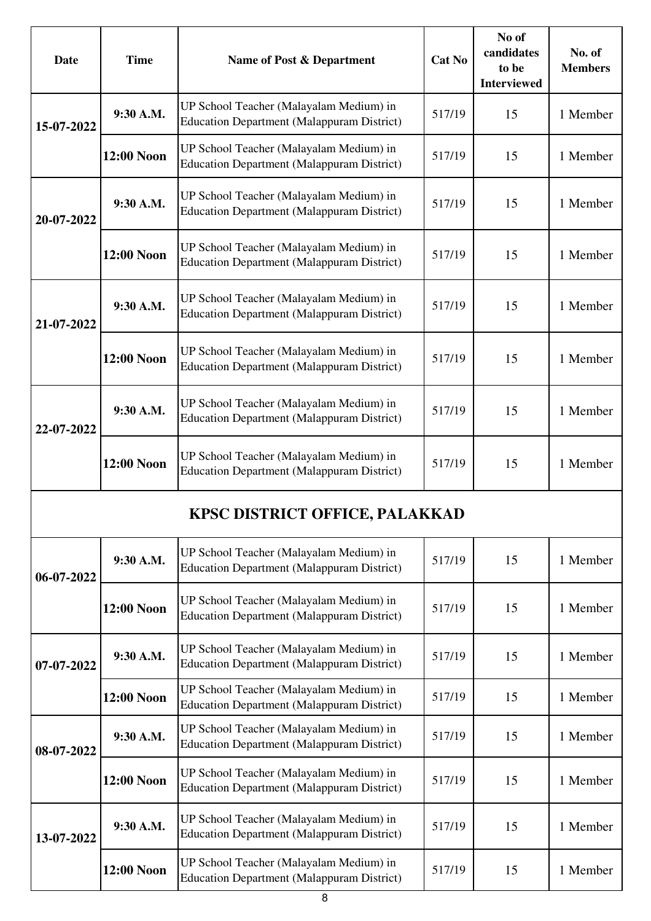| <b>Date</b> | <b>Time</b>       | Name of Post & Department                                                                    | Cat No | No of<br>candidates<br>to be<br><b>Interviewed</b> | No. of<br><b>Members</b> |
|-------------|-------------------|----------------------------------------------------------------------------------------------|--------|----------------------------------------------------|--------------------------|
| 15-07-2022  | 9:30 A.M.         | UP School Teacher (Malayalam Medium) in<br><b>Education Department (Malappuram District)</b> | 517/19 | 15                                                 | 1 Member                 |
|             | <b>12:00 Noon</b> | UP School Teacher (Malayalam Medium) in<br><b>Education Department (Malappuram District)</b> | 517/19 | 15                                                 | 1 Member                 |
| 20-07-2022  | 9:30 A.M.         | UP School Teacher (Malayalam Medium) in<br><b>Education Department (Malappuram District)</b> | 517/19 | 15                                                 | 1 Member                 |
|             | 12:00 Noon        | UP School Teacher (Malayalam Medium) in<br><b>Education Department (Malappuram District)</b> | 517/19 | 15                                                 | 1 Member                 |
| 21-07-2022  | 9:30 A.M.         | UP School Teacher (Malayalam Medium) in<br><b>Education Department (Malappuram District)</b> | 517/19 | 15                                                 | 1 Member                 |
|             | 12:00 Noon        | UP School Teacher (Malayalam Medium) in<br><b>Education Department (Malappuram District)</b> | 517/19 | 15                                                 | 1 Member                 |
| 22-07-2022  | 9:30 A.M.         | UP School Teacher (Malayalam Medium) in<br><b>Education Department (Malappuram District)</b> | 517/19 | 15                                                 | 1 Member                 |
|             | 12:00 Noon        | UP School Teacher (Malayalam Medium) in<br><b>Education Department (Malappuram District)</b> | 517/19 | 15                                                 | 1 Member                 |
|             |                   | <b>KPSC DISTRICT OFFICE, PALAKKAD</b>                                                        |        |                                                    |                          |
| 06-07-2022  | 9:30 A.M.         | UP School Teacher (Malayalam Medium) in<br><b>Education Department (Malappuram District)</b> | 517/19 | 15                                                 | 1 Member                 |
|             | <b>12:00 Noon</b> | UP School Teacher (Malayalam Medium) in<br><b>Education Department (Malappuram District)</b> | 517/19 | 15                                                 | 1 Member                 |
| 07-07-2022  | 9:30 A.M.         | UP School Teacher (Malayalam Medium) in<br><b>Education Department (Malappuram District)</b> | 517/19 | 15                                                 | 1 Member                 |
|             | 12:00 Noon        | UP School Teacher (Malayalam Medium) in<br><b>Education Department (Malappuram District)</b> | 517/19 | 15                                                 | 1 Member                 |
| 08-07-2022  | 9:30 A.M.         | UP School Teacher (Malayalam Medium) in<br><b>Education Department (Malappuram District)</b> | 517/19 | 15                                                 | 1 Member                 |
|             | 12:00 Noon        | UP School Teacher (Malayalam Medium) in<br><b>Education Department (Malappuram District)</b> | 517/19 | 15                                                 | 1 Member                 |
| 13-07-2022  | 9:30 A.M.         | UP School Teacher (Malayalam Medium) in<br><b>Education Department (Malappuram District)</b> | 517/19 | 15                                                 | 1 Member                 |
|             | 12:00 Noon        | UP School Teacher (Malayalam Medium) in<br><b>Education Department (Malappuram District)</b> | 517/19 | 15                                                 | 1 Member                 |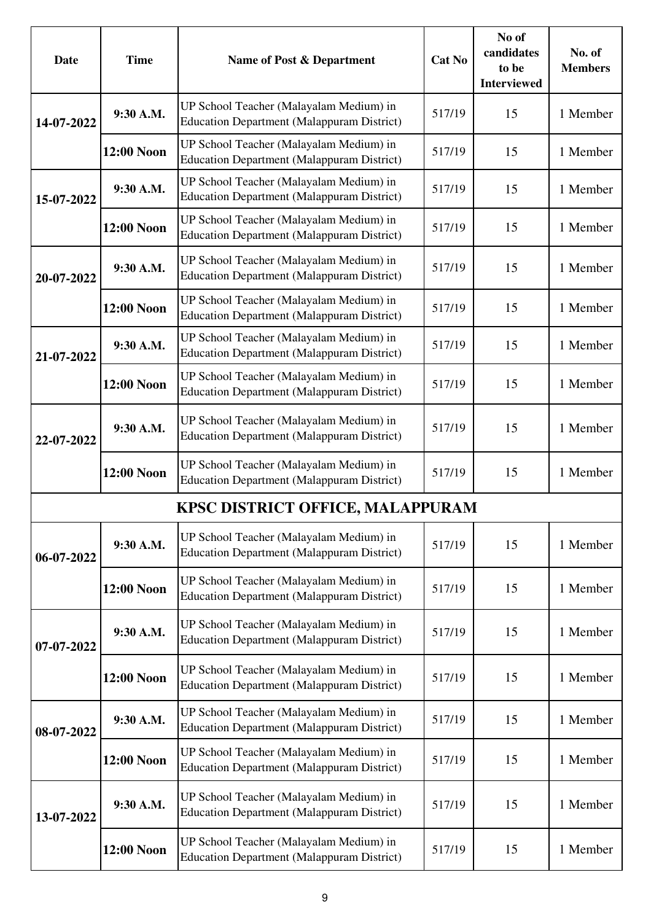| Date       | <b>Time</b> | Name of Post & Department                                                                    | <b>Cat No</b> | No of<br>candidates<br>to be<br><b>Interviewed</b> | No. of<br><b>Members</b> |
|------------|-------------|----------------------------------------------------------------------------------------------|---------------|----------------------------------------------------|--------------------------|
| 14-07-2022 | 9:30 A.M.   | UP School Teacher (Malayalam Medium) in<br><b>Education Department (Malappuram District)</b> | 517/19        | 15                                                 | 1 Member                 |
|            | 12:00 Noon  | UP School Teacher (Malayalam Medium) in<br><b>Education Department (Malappuram District)</b> | 517/19        | 15                                                 | 1 Member                 |
| 15-07-2022 | 9:30 A.M.   | UP School Teacher (Malayalam Medium) in<br><b>Education Department (Malappuram District)</b> | 517/19        | 15                                                 | 1 Member                 |
|            | 12:00 Noon  | UP School Teacher (Malayalam Medium) in<br><b>Education Department (Malappuram District)</b> | 517/19        | 15                                                 | 1 Member                 |
| 20-07-2022 | 9:30 A.M.   | UP School Teacher (Malayalam Medium) in<br><b>Education Department (Malappuram District)</b> | 517/19        | 15                                                 | 1 Member                 |
|            | 12:00 Noon  | UP School Teacher (Malayalam Medium) in<br><b>Education Department (Malappuram District)</b> | 517/19        | 15                                                 | 1 Member                 |
| 21-07-2022 | 9:30 A.M.   | UP School Teacher (Malayalam Medium) in<br><b>Education Department (Malappuram District)</b> | 517/19        | 15                                                 | 1 Member                 |
|            | 12:00 Noon  | UP School Teacher (Malayalam Medium) in<br><b>Education Department (Malappuram District)</b> | 517/19        | 15                                                 | 1 Member                 |
| 22-07-2022 | 9:30 A.M.   | UP School Teacher (Malayalam Medium) in<br><b>Education Department (Malappuram District)</b> | 517/19        | 15                                                 | 1 Member                 |
|            | 12:00 Noon  | UP School Teacher (Malayalam Medium) in<br><b>Education Department (Malappuram District)</b> | 517/19        | 15                                                 | 1 Member                 |
|            |             | KPSC DISTRICT OFFICE, MALAPPURAM                                                             |               |                                                    |                          |
| 06-07-2022 | 9:30 A.M.   | UP School Teacher (Malayalam Medium) in<br><b>Education Department (Malappuram District)</b> | 517/19        | 15                                                 | 1 Member                 |
|            | 12:00 Noon  | UP School Teacher (Malayalam Medium) in<br><b>Education Department (Malappuram District)</b> | 517/19        | 15                                                 | 1 Member                 |
| 07-07-2022 | 9:30 A.M.   | UP School Teacher (Malayalam Medium) in<br><b>Education Department (Malappuram District)</b> | 517/19        | 15                                                 | 1 Member                 |
|            | 12:00 Noon  | UP School Teacher (Malayalam Medium) in<br><b>Education Department (Malappuram District)</b> | 517/19        | 15                                                 | 1 Member                 |
| 08-07-2022 | 9:30 A.M.   | UP School Teacher (Malayalam Medium) in<br><b>Education Department (Malappuram District)</b> | 517/19        | 15                                                 | 1 Member                 |
|            | 12:00 Noon  | UP School Teacher (Malayalam Medium) in<br><b>Education Department (Malappuram District)</b> | 517/19        | 15                                                 | 1 Member                 |
| 13-07-2022 | 9:30 A.M.   | UP School Teacher (Malayalam Medium) in<br><b>Education Department (Malappuram District)</b> | 517/19        | 15                                                 | 1 Member                 |
|            | 12:00 Noon  | UP School Teacher (Malayalam Medium) in<br><b>Education Department (Malappuram District)</b> | 517/19        | 15                                                 | 1 Member                 |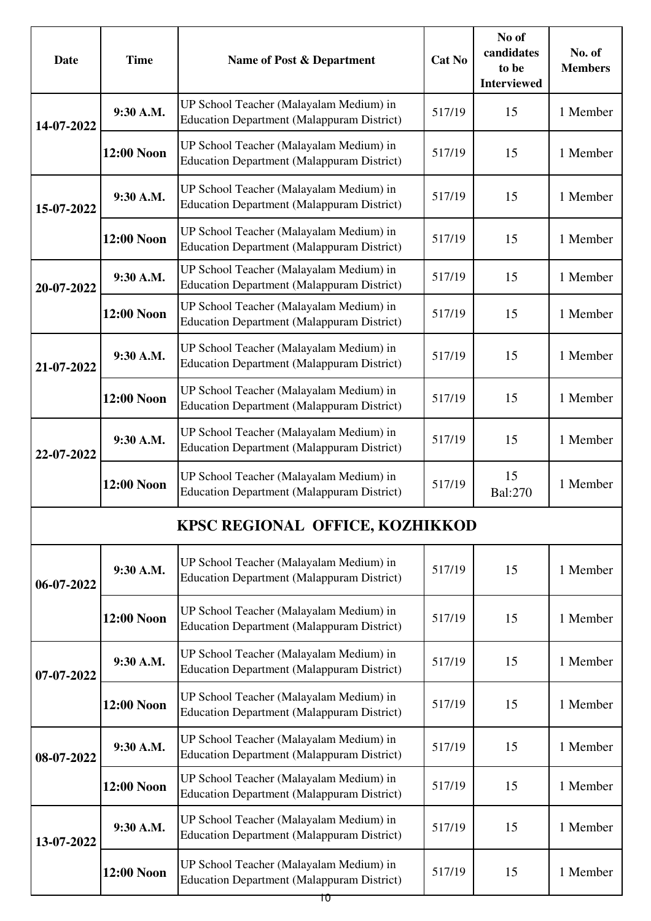| Date       | <b>Time</b>       | Name of Post & Department                                                                    | <b>Cat No</b> | No of<br>candidates<br>to be<br><b>Interviewed</b> | No. of<br><b>Members</b> |
|------------|-------------------|----------------------------------------------------------------------------------------------|---------------|----------------------------------------------------|--------------------------|
| 14-07-2022 | 9:30 A.M.         | UP School Teacher (Malayalam Medium) in<br><b>Education Department (Malappuram District)</b> | 517/19        | 15                                                 | 1 Member                 |
|            | <b>12:00 Noon</b> | UP School Teacher (Malayalam Medium) in<br><b>Education Department (Malappuram District)</b> | 517/19        | 15                                                 | 1 Member                 |
| 15-07-2022 | 9:30 A.M.         | UP School Teacher (Malayalam Medium) in<br><b>Education Department (Malappuram District)</b> | 517/19        | 15                                                 | 1 Member                 |
|            | 12:00 Noon        | UP School Teacher (Malayalam Medium) in<br><b>Education Department (Malappuram District)</b> | 517/19        | 15                                                 | 1 Member                 |
| 20-07-2022 | 9:30 A.M.         | UP School Teacher (Malayalam Medium) in<br><b>Education Department (Malappuram District)</b> | 517/19        | 15                                                 | 1 Member                 |
|            | 12:00 Noon        | UP School Teacher (Malayalam Medium) in<br><b>Education Department (Malappuram District)</b> | 517/19        | 15                                                 | 1 Member                 |
| 21-07-2022 | 9:30 A.M.         | UP School Teacher (Malayalam Medium) in<br><b>Education Department (Malappuram District)</b> | 517/19        | 15                                                 | 1 Member                 |
|            | 12:00 Noon        | UP School Teacher (Malayalam Medium) in<br><b>Education Department (Malappuram District)</b> | 517/19        | 15                                                 | 1 Member                 |
| 22-07-2022 | 9:30 A.M.         | UP School Teacher (Malayalam Medium) in<br><b>Education Department (Malappuram District)</b> | 517/19        | 15                                                 | 1 Member                 |
|            | 12:00 Noon        | UP School Teacher (Malayalam Medium) in<br><b>Education Department (Malappuram District)</b> | 517/19        | 15<br>Bal:270                                      | 1 Member                 |
|            |                   | KPSC REGIONAL OFFICE, KOZHIKKOD                                                              |               |                                                    |                          |
| 06-07-2022 | 9:30 A.M.         | UP School Teacher (Malayalam Medium) in<br><b>Education Department (Malappuram District)</b> | 517/19        | 15                                                 | 1 Member                 |
|            | <b>12:00 Noon</b> | UP School Teacher (Malayalam Medium) in<br><b>Education Department (Malappuram District)</b> | 517/19        | 15                                                 | 1 Member                 |
| 07-07-2022 | 9:30 A.M.         | UP School Teacher (Malayalam Medium) in<br><b>Education Department (Malappuram District)</b> | 517/19        | 15                                                 | 1 Member                 |
|            | 12:00 Noon        | UP School Teacher (Malayalam Medium) in<br><b>Education Department (Malappuram District)</b> | 517/19        | 15                                                 | 1 Member                 |
| 08-07-2022 | 9:30 A.M.         | UP School Teacher (Malayalam Medium) in<br><b>Education Department (Malappuram District)</b> | 517/19        | 15                                                 | 1 Member                 |
|            | 12:00 Noon        | UP School Teacher (Malayalam Medium) in<br><b>Education Department (Malappuram District)</b> | 517/19        | 15                                                 | 1 Member                 |
| 13-07-2022 | 9:30 A.M.         | UP School Teacher (Malayalam Medium) in<br><b>Education Department (Malappuram District)</b> | 517/19        | 15                                                 | 1 Member                 |
|            | 12:00 Noon        | UP School Teacher (Malayalam Medium) in<br><b>Education Department (Malappuram District)</b> | 517/19        | 15                                                 | 1 Member                 |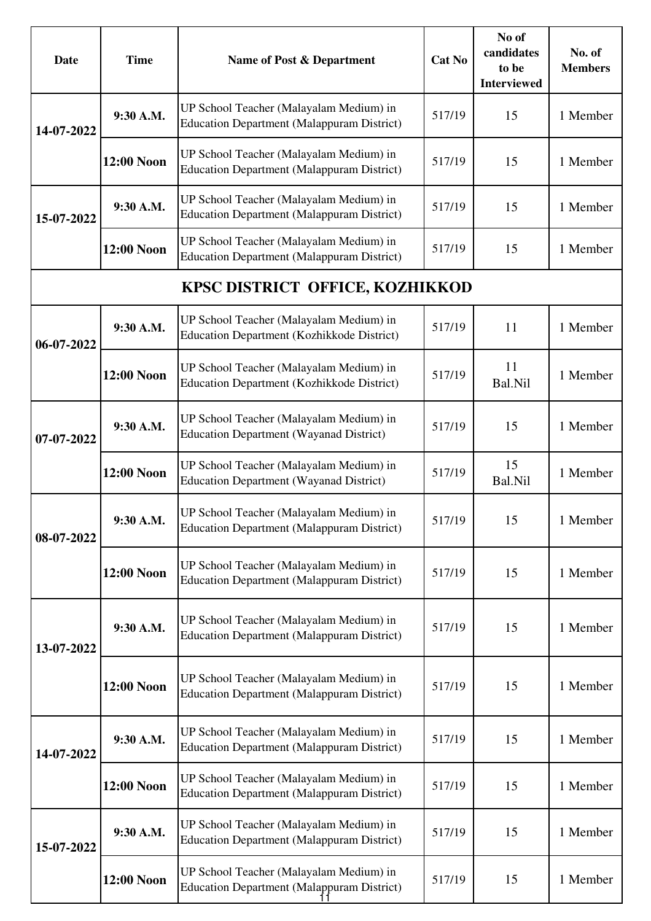| <b>Date</b> | <b>Time</b>       | Name of Post & Department                                                                    | Cat No | No of<br>candidates<br>to be<br><b>Interviewed</b> | No. of<br><b>Members</b> |
|-------------|-------------------|----------------------------------------------------------------------------------------------|--------|----------------------------------------------------|--------------------------|
| 14-07-2022  | 9:30 A.M.         | UP School Teacher (Malayalam Medium) in<br><b>Education Department (Malappuram District)</b> | 517/19 | 15                                                 | 1 Member                 |
|             | 12:00 Noon        | UP School Teacher (Malayalam Medium) in<br><b>Education Department (Malappuram District)</b> | 517/19 | 15                                                 | 1 Member                 |
| 15-07-2022  | 9:30 A.M.         | UP School Teacher (Malayalam Medium) in<br><b>Education Department (Malappuram District)</b> | 517/19 | 15                                                 | 1 Member                 |
|             | <b>12:00 Noon</b> | UP School Teacher (Malayalam Medium) in<br><b>Education Department (Malappuram District)</b> | 517/19 | 15                                                 | 1 Member                 |
|             |                   | KPSC DISTRICT OFFICE, KOZHIKKOD                                                              |        |                                                    |                          |
| 06-07-2022  | 9:30 A.M.         | UP School Teacher (Malayalam Medium) in<br>Education Department (Kozhikkode District)        | 517/19 | 11                                                 | 1 Member                 |
|             | 12:00 Noon        | UP School Teacher (Malayalam Medium) in<br>Education Department (Kozhikkode District)        | 517/19 | 11<br>Bal.Nil                                      | 1 Member                 |
| 07-07-2022  | 9:30 A.M.         | UP School Teacher (Malayalam Medium) in<br><b>Education Department (Wayanad District)</b>    | 517/19 | 15                                                 | 1 Member                 |
|             | 12:00 Noon        | UP School Teacher (Malayalam Medium) in<br><b>Education Department (Wayanad District)</b>    | 517/19 | 15<br>Bal.Nil                                      | 1 Member                 |
| 08-07-2022  | 9:30 A.M.         | UP School Teacher (Malayalam Medium) in<br><b>Education Department (Malappuram District)</b> | 517/19 | 15                                                 | 1 Member                 |
|             | 12:00 Noon        | UP School Teacher (Malayalam Medium) in<br><b>Education Department (Malappuram District)</b> | 517/19 | 15                                                 | 1 Member                 |
| 13-07-2022  | 9:30 A.M.         | UP School Teacher (Malayalam Medium) in<br><b>Education Department (Malappuram District)</b> | 517/19 | 15                                                 | 1 Member                 |
|             | 12:00 Noon        | UP School Teacher (Malayalam Medium) in<br><b>Education Department (Malappuram District)</b> | 517/19 | 15                                                 | 1 Member                 |
| 14-07-2022  | 9:30 A.M.         | UP School Teacher (Malayalam Medium) in<br><b>Education Department (Malappuram District)</b> | 517/19 | 15                                                 | 1 Member                 |
|             | 12:00 Noon        | UP School Teacher (Malayalam Medium) in<br><b>Education Department (Malappuram District)</b> | 517/19 | 15                                                 | 1 Member                 |
| 15-07-2022  | 9:30 A.M.         | UP School Teacher (Malayalam Medium) in<br><b>Education Department (Malappuram District)</b> | 517/19 | 15                                                 | 1 Member                 |
|             | 12:00 Noon        | UP School Teacher (Malayalam Medium) in<br><b>Education Department (Malappuram District)</b> | 517/19 | 15                                                 | 1 Member                 |